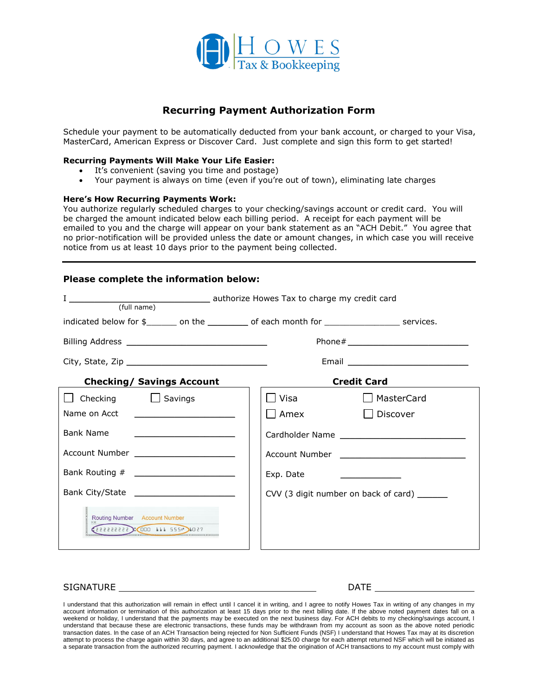

# **Recurring Payment Authorization Form**

Schedule your payment to be automatically deducted from your bank account, or charged to your Visa, MasterCard, American Express or Discover Card. Just complete and sign this form to get started!

## **Recurring Payments Will Make Your Life Easier:**

- It's convenient (saving you time and postage)
- Your payment is always on time (even if you're out of town), eliminating late charges

#### **Here's How Recurring Payments Work:**

You authorize regularly scheduled charges to your checking/savings account or credit card. You will be charged the amount indicated below each billing period. A receipt for each payment will be emailed to you and the charge will appear on your bank statement as an "ACH Debit." You agree that no prior-notification will be provided unless the date or amount changes, in which case you will receive notice from us at least 10 days prior to the payment being collected.

# **Please complete the information below:**

| (full name)                                                                                                                               |                                                                |
|-------------------------------------------------------------------------------------------------------------------------------------------|----------------------------------------------------------------|
| indicated below for \$_______ on the _________ of each month for ________________ services.                                               |                                                                |
|                                                                                                                                           |                                                                |
|                                                                                                                                           |                                                                |
| <b>Checking/ Savings Account</b>                                                                                                          | <b>Credit Card</b>                                             |
| □ Checking □ Savings                                                                                                                      | □ MasterCard                                                   |
| Name on Acct                                                                                                                              | Amex<br>Discover                                               |
| <b>Bank Name</b><br><u>experience</u> and the contract of the contract of the contract of the contract of the contract of the contract of |                                                                |
| Account Number ______________________                                                                                                     |                                                                |
|                                                                                                                                           | Exp. Date<br><u> The Communication of the Communication of</u> |
|                                                                                                                                           | CVV (3 digit number on back of card) _______                   |
| Routing Number Account Number<br>1054 17 17 2551 1000 17 17 2223233                                                                       |                                                                |

## SIGNATURE DATE

I understand that this authorization will remain in effect until I cancel it in writing, and I agree to notify Howes Tax in writing of any changes in my account information or termination of this authorization at least 15 days prior to the next billing date. If the above noted payment dates fall on a weekend or holiday, I understand that the payments may be executed on the next business day. For ACH debits to my checking/savings account, I understand that because these are electronic transactions, these funds may be withdrawn from my account as soon as the above noted periodic transaction dates. In the case of an ACH Transaction being rejected for Non Sufficient Funds (NSF) I understand that Howes Tax may at its discretion attempt to process the charge again within 30 days, and agree to an additional \$25.00 charge for each attempt returned NSF which will be initiated as a separate transaction from the authorized recurring payment. I acknowledge that the origination of ACH transactions to my account must comply with